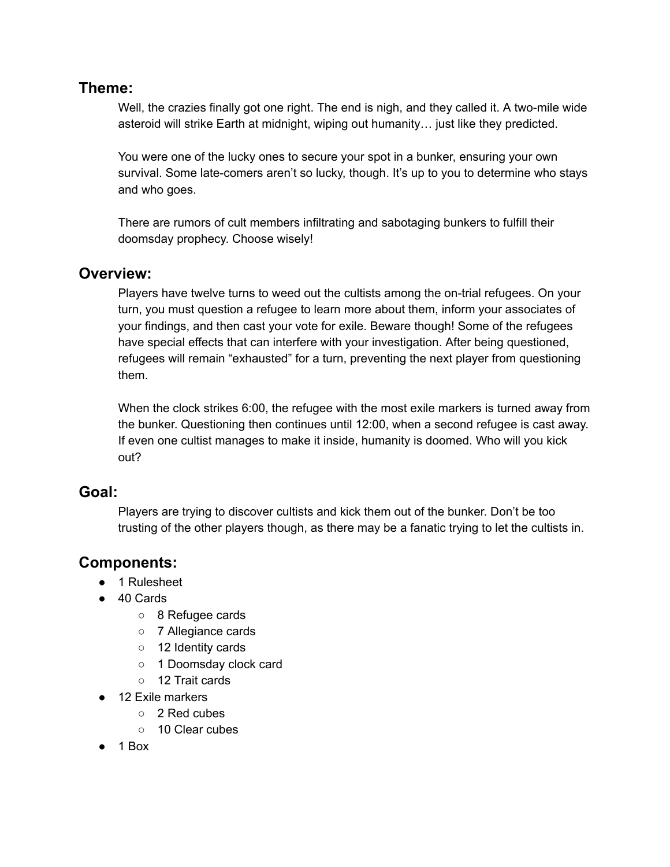# **Theme:**

Well, the crazies finally got one right. The end is nigh, and they called it. A two-mile wide asteroid will strike Earth at midnight, wiping out humanity… just like they predicted.

You were one of the lucky ones to secure your spot in a bunker, ensuring your own survival. Some late-comers aren't so lucky, though. It's up to you to determine who stays and who goes.

There are rumors of cult members infiltrating and sabotaging bunkers to fulfill their doomsday prophecy. Choose wisely!

## **Overview:**

Players have twelve turns to weed out the cultists among the on-trial refugees. On your turn, you must question a refugee to learn more about them, inform your associates of your findings, and then cast your vote for exile. Beware though! Some of the refugees have special effects that can interfere with your investigation. After being questioned, refugees will remain "exhausted" for a turn, preventing the next player from questioning them.

When the clock strikes 6:00, the refugee with the most exile markers is turned away from the bunker. Questioning then continues until 12:00, when a second refugee is cast away. If even one cultist manages to make it inside, humanity is doomed. Who will you kick out?

# **Goal:**

Players are trying to discover cultists and kick them out of the bunker. Don't be too trusting of the other players though, as there may be a fanatic trying to let the cultists in.

# **Components:**

- 1 Rulesheet
- 40 Cards
	- 8 Refugee cards
	- 7 Allegiance cards
	- 12 Identity cards
	- 1 Doomsday clock card
	- 12 Trait cards
- 12 Exile markers
	- 2 Red cubes
	- 10 Clear cubes
- $\bullet$  1 Box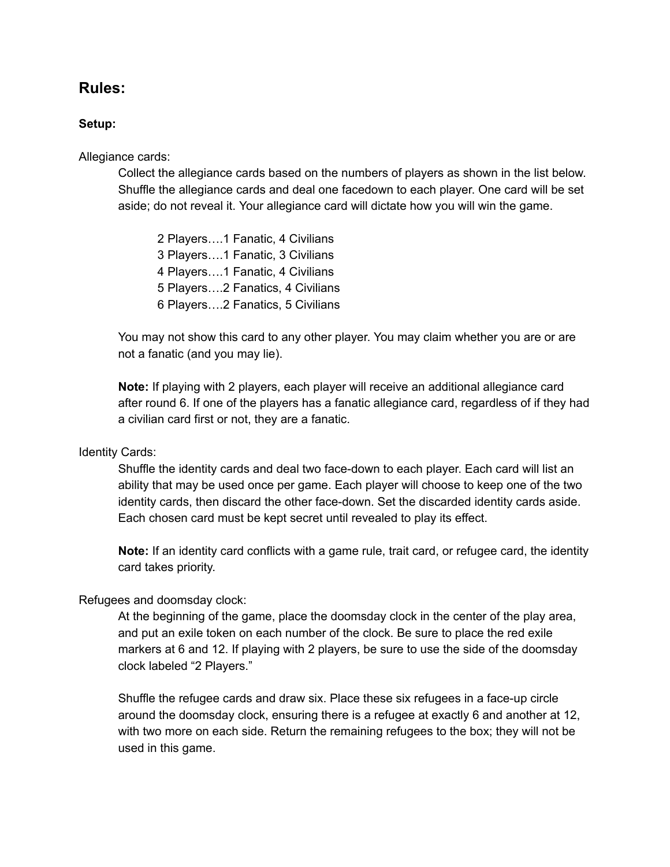# **Rules:**

#### **Setup:**

Allegiance cards:

Collect the allegiance cards based on the numbers of players as shown in the list below. Shuffle the allegiance cards and deal one facedown to each player. One card will be set aside; do not reveal it. Your allegiance card will dictate how you will win the game.

 Players….1 Fanatic, 4 Civilians Players….1 Fanatic, 3 Civilians Players….1 Fanatic, 4 Civilians Players….2 Fanatics, 4 Civilians Players….2 Fanatics, 5 Civilians

You may not show this card to any other player. You may claim whether you are or are not a fanatic (and you may lie).

**Note:** If playing with 2 players, each player will receive an additional allegiance card after round 6. If one of the players has a fanatic allegiance card, regardless of if they had a civilian card first or not, they are a fanatic.

#### Identity Cards:

Shuffle the identity cards and deal two face-down to each player. Each card will list an ability that may be used once per game. Each player will choose to keep one of the two identity cards, then discard the other face-down. Set the discarded identity cards aside. Each chosen card must be kept secret until revealed to play its effect.

**Note:** If an identity card conflicts with a game rule, trait card, or refugee card, the identity card takes priority.

#### Refugees and doomsday clock:

At the beginning of the game, place the doomsday clock in the center of the play area, and put an exile token on each number of the clock. Be sure to place the red exile markers at 6 and 12. If playing with 2 players, be sure to use the side of the doomsday clock labeled "2 Players."

Shuffle the refugee cards and draw six. Place these six refugees in a face-up circle around the doomsday clock, ensuring there is a refugee at exactly 6 and another at 12, with two more on each side. Return the remaining refugees to the box; they will not be used in this game.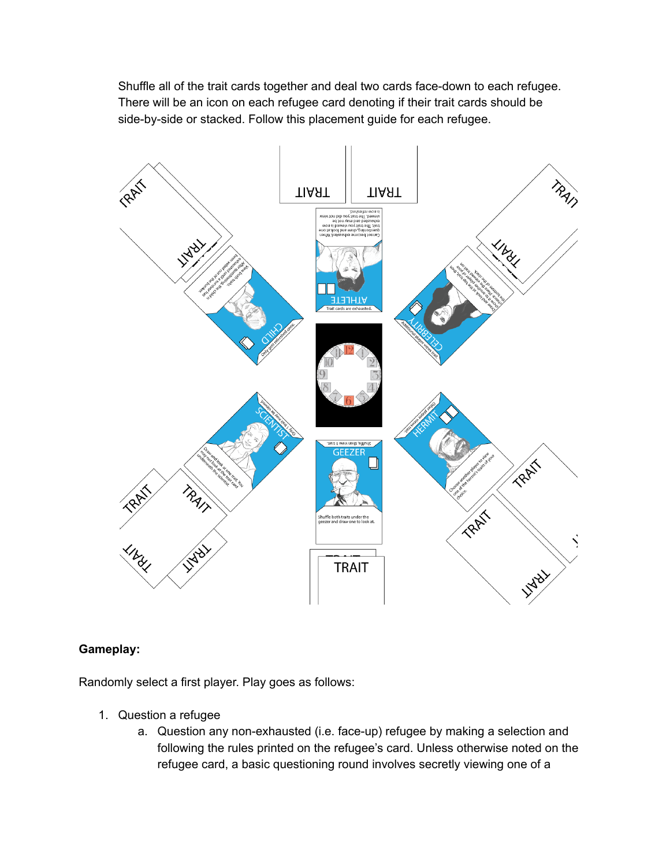Shuffle all of the trait cards together and deal two cards face-down to each refugee. There will be an icon on each refugee card denoting if their trait cards should be side-by-side or stacked. Follow this placement guide for each refugee.



## **Gameplay:**

Randomly select a first player. Play goes as follows:

- 1. Question a refugee
	- a. Question any non-exhausted (i.e. face-up) refugee by making a selection and following the rules printed on the refugee's card. Unless otherwise noted on the refugee card, a basic questioning round involves secretly viewing one of a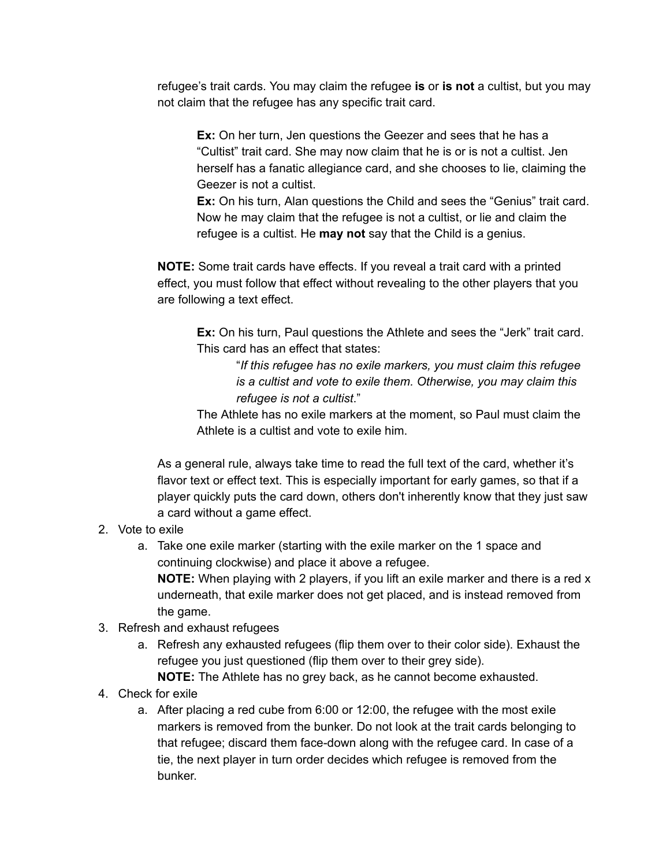refugee's trait cards. You may claim the refugee **is** or **is not** a cultist, but you may not claim that the refugee has any specific trait card.

**Ex:** On her turn, Jen questions the Geezer and sees that he has a "Cultist" trait card. She may now claim that he is or is not a cultist. Jen herself has a fanatic allegiance card, and she chooses to lie, claiming the Geezer is not a cultist.

**Ex:** On his turn, Alan questions the Child and sees the "Genius" trait card. Now he may claim that the refugee is not a cultist, or lie and claim the refugee is a cultist. He **may not** say that the Child is a genius.

**NOTE:** Some trait cards have effects. If you reveal a trait card with a printed effect, you must follow that effect without revealing to the other players that you are following a text effect.

**Ex:** On his turn, Paul questions the Athlete and sees the "Jerk" trait card. This card has an effect that states:

> "*If this refugee has no exile markers, you must claim this refugee is a cultist and vote to exile them. Otherwise, you may claim this refugee is not a cultist*."

The Athlete has no exile markers at the moment, so Paul must claim the Athlete is a cultist and vote to exile him.

As a general rule, always take time to read the full text of the card, whether it's flavor text or effect text. This is especially important for early games, so that if a player quickly puts the card down, others don't inherently know that they just saw a card without a game effect.

## 2. Vote to exile

- a. Take one exile marker (starting with the exile marker on the 1 space and continuing clockwise) and place it above a refugee. **NOTE:** When playing with 2 players, if you lift an exile marker and there is a red x underneath, that exile marker does not get placed, and is instead removed from the game.
- 3. Refresh and exhaust refugees
	- a. Refresh any exhausted refugees (flip them over to their color side). Exhaust the refugee you just questioned (flip them over to their grey side). **NOTE:** The Athlete has no grey back, as he cannot become exhausted.
- 4. Check for exile
	- a. After placing a red cube from 6:00 or 12:00, the refugee with the most exile markers is removed from the bunker. Do not look at the trait cards belonging to that refugee; discard them face-down along with the refugee card. In case of a tie, the next player in turn order decides which refugee is removed from the bunker.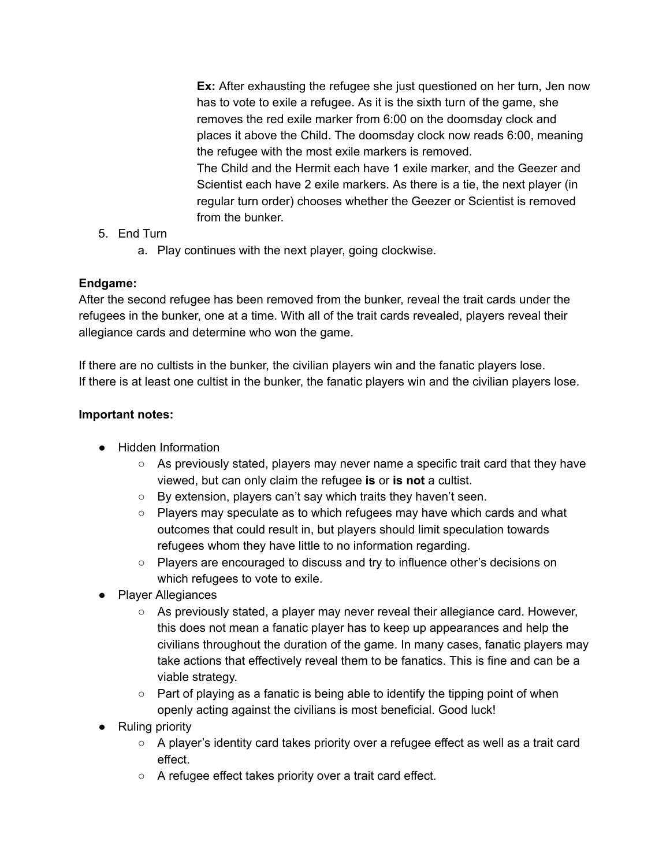**Ex:** After exhausting the refugee she just questioned on her turn, Jen now has to vote to exile a refugee. As it is the sixth turn of the game, she removes the red exile marker from 6:00 on the doomsday clock and places it above the Child. The doomsday clock now reads 6:00, meaning the refugee with the most exile markers is removed. The Child and the Hermit each have 1 exile marker, and the Geezer and Scientist each have 2 exile markers. As there is a tie, the next player (in regular turn order) chooses whether the Geezer or Scientist is removed from the bunker.

## 5. End Turn

a. Play continues with the next player, going clockwise.

## **Endgame:**

After the second refugee has been removed from the bunker, reveal the trait cards under the refugees in the bunker, one at a time. With all of the trait cards revealed, players reveal their allegiance cards and determine who won the game.

If there are no cultists in the bunker, the civilian players win and the fanatic players lose. If there is at least one cultist in the bunker, the fanatic players win and the civilian players lose.

## **Important notes:**

- Hidden Information
	- $\circ$  As previously stated, players may never name a specific trait card that they have viewed, but can only claim the refugee **is** or **is not** a cultist.
	- By extension, players can't say which traits they haven't seen.
	- $\circ$  Players may speculate as to which refugees may have which cards and what outcomes that could result in, but players should limit speculation towards refugees whom they have little to no information regarding.
	- Players are encouraged to discuss and try to influence other's decisions on which refugees to vote to exile.
- Player Allegiances
	- As previously stated, a player may never reveal their allegiance card. However, this does not mean a fanatic player has to keep up appearances and help the civilians throughout the duration of the game. In many cases, fanatic players may take actions that effectively reveal them to be fanatics. This is fine and can be a viable strategy.
	- $\circ$  Part of playing as a fanatic is being able to identify the tipping point of when openly acting against the civilians is most beneficial. Good luck!
- Ruling priority
	- A player's identity card takes priority over a refugee effect as well as a trait card effect.
	- A refugee effect takes priority over a trait card effect.